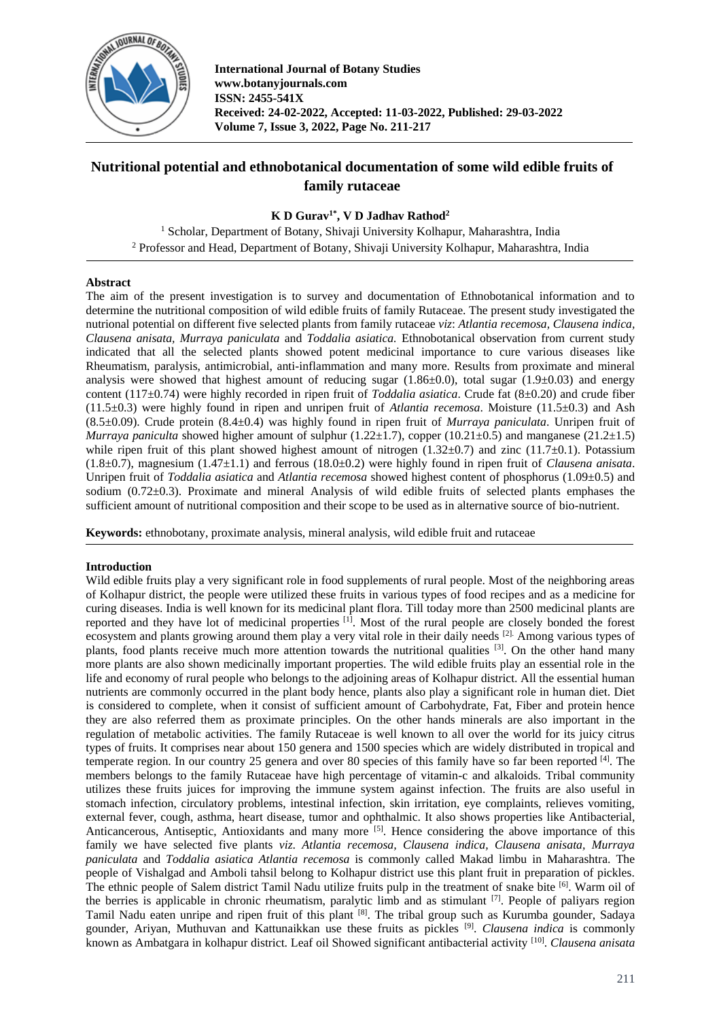

**International Journal of Botany Studies www.botanyjournals.com ISSN: 2455-541X Received: 24-02-2022, Accepted: 11-03-2022, Published: 29-03-2022 Volume 7, Issue 3, 2022, Page No. 211-217**

# **Nutritional potential and ethnobotanical documentation of some wild edible fruits of family rutaceae**

**K D Gurav1\* , V D Jadhav Rathod<sup>2</sup>**

<sup>1</sup> Scholar, Department of Botany, Shivaji University Kolhapur, Maharashtra, India <sup>2</sup> Professor and Head, Department of Botany, Shivaji University Kolhapur, Maharashtra, India

# **Abstract**

The aim of the present investigation is to survey and documentation of Ethnobotanical information and to determine the nutritional composition of wild edible fruits of family Rutaceae. The present study investigated the nutrional potential on different five selected plants from family rutaceae *viz*: *Atlantia recemosa, Clausena indica, Clausena anisata, Murraya paniculata* and *Toddalia asiatica.* Ethnobotanical observation from current study indicated that all the selected plants showed potent medicinal importance to cure various diseases like Rheumatism, paralysis, antimicrobial, anti-inflammation and many more. Results from proximate and mineral analysis were showed that highest amount of reducing sugar  $(1.86\pm0.0)$ , total sugar  $(1.9\pm0.03)$  and energy content (117±0.74) were highly recorded in ripen fruit of *Toddalia asiatica*. Crude fat (8±0.20) and crude fiber  $(11.5\pm0.3)$  were highly found in ripen and unripen fruit of *Atlantia recemosa*. Moisture (11.5 $\pm$ 0.3) and Ash (8.5±0.09). Crude protein (8.4±0.4) was highly found in ripen fruit of *Murraya paniculata*. Unripen fruit of *Murraya paniculta* showed higher amount of sulphur  $(1.22\pm 1.7)$ , copper  $(10.21\pm 0.5)$  and manganese  $(21.2\pm 1.5)$ while ripen fruit of this plant showed highest amount of nitrogen  $(1.32\pm0.7)$  and zinc  $(11.7\pm0.1)$ . Potassium (1.8±0.7), magnesium (1.47±1.1) and ferrous (18.0±0.2) were highly found in ripen fruit of *Clausena anisata*. Unripen fruit of *Toddalia asiatica* and *Atlantia recemosa* showed highest content of phosphorus (1.09±0.5) and sodium (0.72±0.3). Proximate and mineral Analysis of wild edible fruits of selected plants emphases the sufficient amount of nutritional composition and their scope to be used as in alternative source of bio-nutrient.

**Keywords:** ethnobotany, proximate analysis, mineral analysis, wild edible fruit and rutaceae

# **Introduction**

Wild edible fruits play a very significant role in food supplements of rural people. Most of the neighboring areas of Kolhapur district, the people were utilized these fruits in various types of food recipes and as a medicine for curing diseases. India is well known for its medicinal plant flora. Till today more than 2500 medicinal plants are reported and they have lot of medicinal properties [1]. Most of the rural people are closely bonded the forest ecosystem and plants growing around them play a very vital role in their daily needs [2]. Among various types of plants, food plants receive much more attention towards the nutritional qualities  $[3]$ . On the other hand many more plants are also shown medicinally important properties. The wild edible fruits play an essential role in the life and economy of rural people who belongs to the adjoining areas of Kolhapur district. All the essential human nutrients are commonly occurred in the plant body hence, plants also play a significant role in human diet. Diet is considered to complete, when it consist of sufficient amount of Carbohydrate, Fat, Fiber and protein hence they are also referred them as proximate principles. On the other hands minerals are also important in the regulation of metabolic activities. The family Rutaceae is well known to all over the world for its juicy citrus types of fruits. It comprises near about 150 genera and 1500 species which are widely distributed in tropical and temperate region. In our country 25 genera and over 80 species of this family have so far been reported [4]. The members belongs to the family Rutaceae have high percentage of vitamin-c and alkaloids. Tribal community utilizes these fruits juices for improving the immune system against infection. The fruits are also useful in stomach infection, circulatory problems, intestinal infection, skin irritation, eye complaints, relieves vomiting, external fever, cough, asthma, heart disease, tumor and ophthalmic. It also shows properties like Antibacterial, Anticancerous, Antiseptic, Antioxidants and many more <sup>[5]</sup>. Hence considering the above importance of this family we have selected five plants *viz*. *Atlantia recemosa, Clausena indica, Clausena anisata, Murraya paniculata* and *Toddalia asiatica Atlantia recemosa* is commonly called Makad limbu in Maharashtra. The people of Vishalgad and Amboli tahsil belong to Kolhapur district use this plant fruit in preparation of pickles. The ethnic people of Salem district Tamil Nadu utilize fruits pulp in the treatment of snake bite [6]. Warm oil of the berries is applicable in chronic rheumatism, paralytic limb and as stimulant [7]. People of paliyars region Tamil Nadu eaten unripe and ripen fruit of this plant [8]. The tribal group such as Kurumba gounder, Sadaya gounder, Ariyan, Muthuvan and Kattunaikkan use these fruits as pickles [9] . *Clausena indica* is commonly known as Ambatgara in kolhapur district. Leaf oil Showed significant antibacterial activity [10] . *Clausena anisata*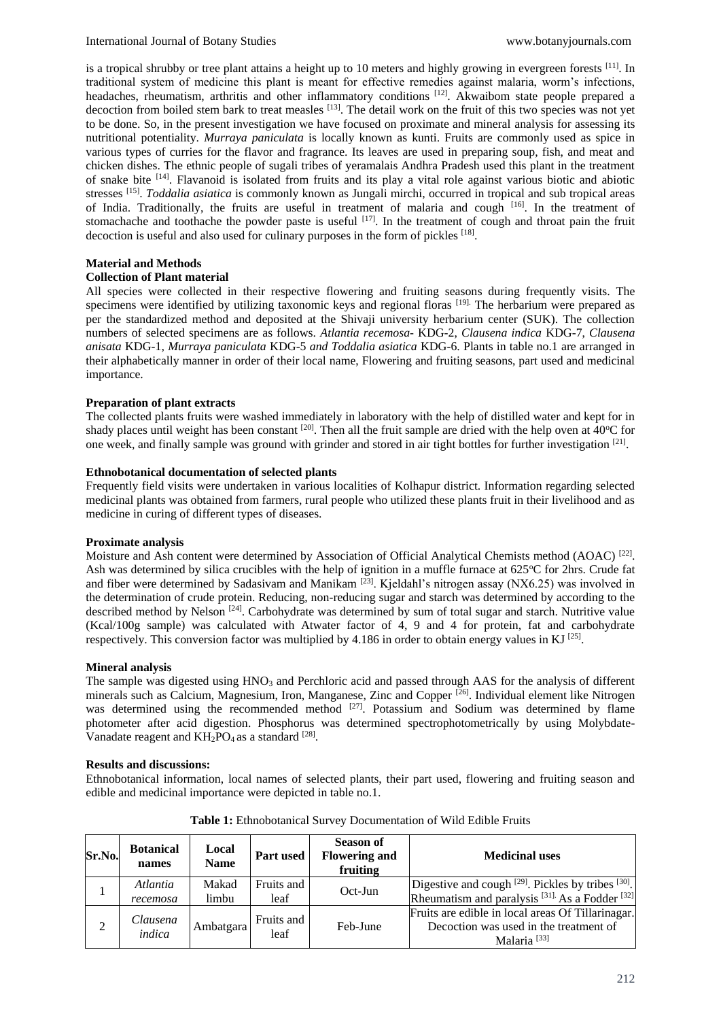is a tropical shrubby or tree plant attains a height up to 10 meters and highly growing in evergreen forests  $[11]$ . In traditional system of medicine this plant is meant for effective remedies against malaria, worm's infections, headaches, rheumatism, arthritis and other inflammatory conditions <sup>[12]</sup>. Akwaibom state people prepared a decoction from boiled stem bark to treat measles [13]. The detail work on the fruit of this two species was not yet to be done. So, in the present investigation we have focused on proximate and mineral analysis for assessing its nutritional potentiality. *Murraya paniculata* is locally known as kunti. Fruits are commonly used as spice in various types of curries for the flavor and fragrance. Its leaves are used in preparing soup, fish, and meat and chicken dishes. The ethnic people of sugali tribes of yeramalais Andhra Pradesh used this plant in the treatment of snake bite [14]. Flavanoid is isolated from fruits and its play a vital role against various biotic and abiotic stresses [15] . *Toddalia asiatica* is commonly known as Jungali mirchi, occurred in tropical and sub tropical areas of India. Traditionally, the fruits are useful in treatment of malaria and cough [16]. In the treatment of stomachache and toothache the powder paste is useful <sup>[17]</sup>. In the treatment of cough and throat pain the fruit decoction is useful and also used for culinary purposes in the form of pickles <sup>[18]</sup>.

#### **Material and Methods**

#### **Collection of Plant material**

All species were collected in their respective flowering and fruiting seasons during frequently visits. The specimens were identified by utilizing taxonomic keys and regional floras [19]. The herbarium were prepared as per the standardized method and deposited at the Shivaji university herbarium center (SUK). The collection numbers of selected specimens are as follows. *Atlantia recemosa-* KDG-2, *Clausena indica* KDG-7, *Clausena anisata* KDG-1*, Murraya paniculata* KDG-5 *and Toddalia asiatica* KDG-6. Plants in table no.1 are arranged in their alphabetically manner in order of their local name, Flowering and fruiting seasons, part used and medicinal importance.

#### **Preparation of plant extracts**

The collected plants fruits were washed immediately in laboratory with the help of distilled water and kept for in shady places until weight has been constant  $[20]$ . Then all the fruit sample are dried with the help oven at  $40^{\circ}$ C for one week, and finally sample was ground with grinder and stored in air tight bottles for further investigation [21].

#### **Ethnobotanical documentation of selected plants**

Frequently field visits were undertaken in various localities of Kolhapur district. Information regarding selected medicinal plants was obtained from farmers, rural people who utilized these plants fruit in their livelihood and as medicine in curing of different types of diseases.

#### **Proximate analysis**

Moisture and Ash content were determined by Association of Official Analytical Chemists method (AOAC)<sup>[22]</sup>. Ash was determined by silica crucibles with the help of ignition in a muffle furnace at  $625^{\circ}$ C for 2hrs. Crude fat and fiber were determined by Sadasivam and Manikam <sup>[23]</sup>. Kjeldahl's nitrogen assay (NX6.25) was involved in the determination of crude protein. Reducing, non-reducing sugar and starch was determined by according to the described method by Nelson <sup>[24]</sup>. Carbohydrate was determined by sum of total sugar and starch. Nutritive value (Kcal/100g sample) was calculated with Atwater factor of 4, 9 and 4 for protein, fat and carbohydrate respectively. This conversion factor was multiplied by 4.186 in order to obtain energy values in KJ  $^{[25]}$ .

#### **Mineral analysis**

The sample was digested using HNO<sub>3</sub> and Perchloric acid and passed through AAS for the analysis of different minerals such as Calcium, Magnesium, Iron, Manganese, Zinc and Copper [26]. Individual element like Nitrogen was determined using the recommended method <sup>[27]</sup>. Potassium and Sodium was determined by flame photometer after acid digestion. Phosphorus was determined spectrophotometrically by using Molybdate-Vanadate reagent and  $KH_2PO_4$  as a standard  $^{[28]}$ .

#### **Results and discussions:**

Ethnobotanical information, local names of selected plants, their part used, flowering and fruiting season and edible and medicinal importance were depicted in table no.1.

| Sr.No.         | <b>Botanical</b><br>names | Local<br><b>Name</b> | <b>Part used</b>   | <b>Season of</b><br><b>Flowering and</b><br>fruiting | <b>Medicinal uses</b>                                                                                                     |  |  |
|----------------|---------------------------|----------------------|--------------------|------------------------------------------------------|---------------------------------------------------------------------------------------------------------------------------|--|--|
|                | Atlantia<br>recemosa      | Makad<br>limbu       | Fruits and<br>leaf | Oct-Jun                                              | Digestive and cough [29]. Pickles by tribes [30].<br>Rheumatism and paralysis <sup>[31]</sup> As a Fodder <sup>[32]</sup> |  |  |
| $\overline{c}$ | Clausena<br>indica        | Ambatgara            | Fruits and<br>leaf | Feb-June                                             | Fruits are edible in local areas Of Tillarinagar.<br>Decoction was used in the treatment of<br>Malaria <sup>[33]</sup>    |  |  |

**Table 1:** Ethnobotanical Survey Documentation of Wild Edible Fruits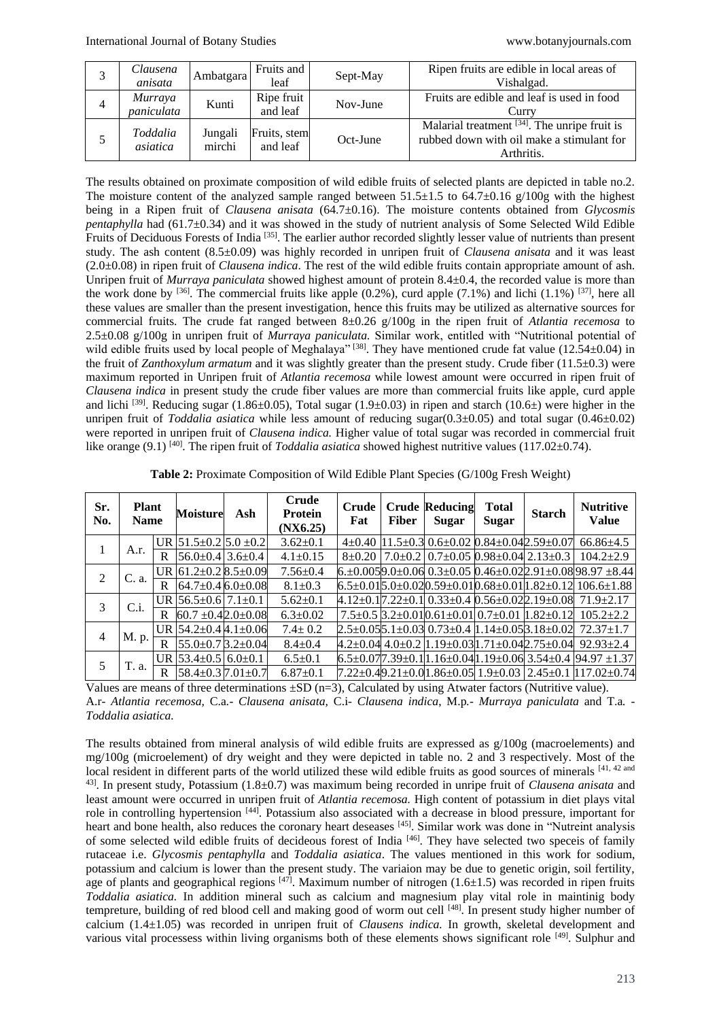| 3 | Clausena<br>anisata          | Ambatgara         | Fruits and<br>leaf       | Sept-May | Ripen fruits are edible in local areas of<br>Vishalgad.                                                    |
|---|------------------------------|-------------------|--------------------------|----------|------------------------------------------------------------------------------------------------------------|
| 4 | <i>Murraya</i><br>paniculata | Kunti             | Ripe fruit<br>and leaf   | Nov-June | Fruits are edible and leaf is used in food<br>Curry                                                        |
|   | Toddalia<br>asiatica         | Jungali<br>mirchi | Fruits, stem<br>and leaf | Oct-June | Malarial treatment $[34]$ . The unripe fruit is<br>rubbed down with oil make a stimulant for<br>Arthritis. |

The results obtained on proximate composition of wild edible fruits of selected plants are depicted in table no.2. The moisture content of the analyzed sample ranged between  $51.5\pm1.5$  to  $64.7\pm0.16$  g/100g with the highest being in a Ripen fruit of *Clausena anisata* (64.7±0.16). The moisture contents obtained from *Glycosmis pentaphylla* had (61.7±0.34) and it was showed in the study of nutrient analysis of Some Selected Wild Edible Fruits of Deciduous Forests of India <sup>[35]</sup>. The earlier author recorded slightly lesser value of nutrients than present study. The ash content (8.5±0.09) was highly recorded in unripen fruit of *Clausena anisata* and it was least (2.0±0.08) in ripen fruit of *Clausena indica*. The rest of the wild edible fruits contain appropriate amount of ash. Unripen fruit of *Murraya paniculata* showed highest amount of protein 8.4±0.4, the recorded value is more than the work done by <sup>[36]</sup>. The commercial fruits like apple  $(0.2\%)$ , curd apple  $(7.1\%)$  and lichi  $(1.1\%)$  [37], here all these values are smaller than the present investigation, hence this fruits may be utilized as alternative sources for commercial fruits. The crude fat ranged between 8±0.26 g/100g in the ripen fruit of *Atlantia recemosa* to 2.5±0.08 g/100g in unripen fruit of *Murraya paniculata.* Similar work, entitled with "Nutritional potential of wild edible fruits used by local people of Meghalaya" <sup>[38]</sup>. They have mentioned crude fat value (12.54±0.04) in the fruit of *Zanthoxylum armatum* and it was slightly greater than the present study. Crude fiber (11.5±0.3) were maximum reported in Unripen fruit of *Atlantia recemosa* while lowest amount were occurred in ripen fruit of *Clausena indica* in present study the crude fiber values are more than commercial fruits like apple, curd apple and lichi <sup>[39]</sup>. Reducing sugar (1.86±0.05), Total sugar (1.9±0.03) in ripen and starch (10.6±) were higher in the unripen fruit of *Toddalia asiatica* while less amount of reducing sugar(0.3±0.05) and total sugar (0.46±0.02) were reported in unripen fruit of *Clausena indica.* Higher value of total sugar was recorded in commercial fruit like orange (9.1) <sup>[40]</sup>. The ripen fruit of *Toddalia asiatica* showed highest nutritive values (117.02 $\pm$ 0.74).

| Sr.<br>No.     | <b>Plant</b><br><b>Name</b> |   | <b>Moisture</b>                  | Ash | Crude<br><b>Protein</b><br>(NX6.25) | Crude<br>Fat | <b>Fiber</b> | <b>Crude Reducing</b><br><b>Sugar</b> | <b>Total</b><br>Sugar | <b>Starch</b>                                                                  | <b>Nutritive</b><br>Value                                                         |
|----------------|-----------------------------|---|----------------------------------|-----|-------------------------------------|--------------|--------------|---------------------------------------|-----------------------|--------------------------------------------------------------------------------|-----------------------------------------------------------------------------------|
|                | A.r.                        |   | UR $51.5 \pm 0.2$ 5.0 $\pm 0.2$  |     | $3.62 \pm 0.1$                      |              |              |                                       |                       | $4\pm0.40$  11.5 $\pm$ 0.3   0.6 $\pm$ 0.02   0.84 $\pm$ 0.04  2.59 $\pm$ 0.07 | $66.86{\pm}4.5$                                                                   |
|                |                             | R | $56.0 \pm 0.4$ 3.6 $\pm 0.4$     |     | $4.1 \pm 0.15$                      |              |              |                                       |                       | $8\pm0.20$   $7.0\pm0.2$   $0.7\pm0.05$ $0.98\pm0.04$ $2.13\pm0.3$             | $104.2+2.9$                                                                       |
| $\mathfrak{D}$ | C. a.                       |   | UR $61.2 \pm 0.28$ .5 $\pm 0.09$ |     | $7.56 \pm 0.4$                      |              |              |                                       |                       |                                                                                | $6.+0.0059.0+0.060.3+0.050.46+0.022.91+0.0898.97+8.44$                            |
|                |                             | R | $64.7+0.46+0.08$                 |     | $8.1 \pm 0.3$                       |              |              |                                       |                       |                                                                                | $6.5 \pm 0.015.0 \pm 0.020.59 \pm 0.010.68 \pm 0.0111.82 \pm 0.121106.6 \pm 1.88$ |
| 3              | $C_{.i}$ .                  |   | UR $56.5 \pm 0.6$ 7.1 $\pm 0.1$  |     | $5.62 \pm 0.1$                      |              |              |                                       |                       |                                                                                | 4.12±0.17.22±0.1   0.33±0.4   0.56±0.02   2.19±0.08   71.9±2.17                   |
|                |                             | R | $60.7 \pm 0.42.0 \pm 0.08$       |     | $6.3 \pm 0.02$                      |              |              |                                       |                       | $7.5\pm0.5$ $3.2\pm0.01$ $0.61\pm0.01$ $0.7\pm0.01$ $1.82\pm0.12$              | $105.2 + 2.2$                                                                     |
| 4              | M. p.                       |   | UR $54.2 \pm 0.44.1 \pm 0.06$    |     | $7.4 \pm 0.2$                       |              |              |                                       |                       | $2.5\pm0.05$ [5.1 $\pm$ 0.03] $0.73\pm0.4$ [1.14 $\pm$ 0.05] $3.18\pm0.02$ ]   | $72.37 \pm 1.7$                                                                   |
|                |                             | R | $55.0\pm 0.7$ $3.2\pm 0.04$      |     | $8.4 \pm 0.4$                       |              |              |                                       |                       | $4.2\pm0.04$ $4.0\pm0.2$ $11.19\pm0.03$ $1.71\pm0.04$ $2.75\pm0.04$            | $92.93 + 2.4$                                                                     |
| 5              | T. a.                       |   | UR $53.4 \pm 0.5$ 6.0 $\pm$ 0.1  |     | $6.5 \pm 0.1$                       |              |              |                                       |                       |                                                                                | $6.5\pm0.077.39\pm0.111.16\pm0.0411.19\pm0.063.54\pm0.494.97\pm1.37$              |
|                |                             | R | $58.4 \pm 0.37.01 \pm 0.7$       |     | $6.87 \pm 0.1$                      |              |              |                                       |                       |                                                                                | 7.22±0.49.21±0.01.86±0.05  1.9±0.03   2.45±0.1  117.02±0.74                       |

**Table 2:** Proximate Composition of Wild Edible Plant Species (G/100g Fresh Weight)

Values are means of three determinations  $\pm SD$  (n=3), Calculated by using Atwater factors (Nutritive value). A.r*- Atlantia recemosa,* C.a*.- Clausena anisata,* C.i- *Clausena indica*, M.p*.- Murraya paniculata* and T.a*. - Toddalia asiatica.*

The results obtained from mineral analysis of wild edible fruits are expressed as g/100g (macroelements) and mg/100g (microelement) of dry weight and they were depicted in table no. 2 and 3 respectively. Most of the local resident in different parts of the world utilized these wild edible fruits as good sources of minerals [41, 42 and 43]. In present study, Potassium (1.8±0.7) was maximum being recorded in unripe fruit of *Clausena anisata* and least amount were occurred in unripen fruit of *Atlantia recemosa.* High content of potassium in diet plays vital role in controlling hypertension [44]. Potassium also associated with a decrease in blood pressure, important for heart and bone health, also reduces the coronary heart deseases [45]. Similar work was done in "Nutreint analysis of some selected wild edible fruits of decideous forest of India [46]. They have selected two speceis of family rutaceae i.e. *Glycosmis pentaphylla* and *Toddalia asiatica*. The values mentioned in this work for sodium, potassium and calcium is lower than the present study. The variaion may be due to genetic origin, soil fertility, age of plants and geographical regions  $[47]$ . Maximum number of nitrogen (1.6 $\pm$ 1.5) was recorded in ripen fruits *Toddalia asiatica.* In addition mineral such as calcium and magnesium play vital role in maintinig body tempreture, building of red blood cell and making good of worm out cell [48]. In present study higher number of calcium (1.4±1.05) was recorded in unripen fruit of *Clausens indica.* In growth, skeletal development and various vital processess within living organisms both of these elements shows significant role [49]. Sulphur and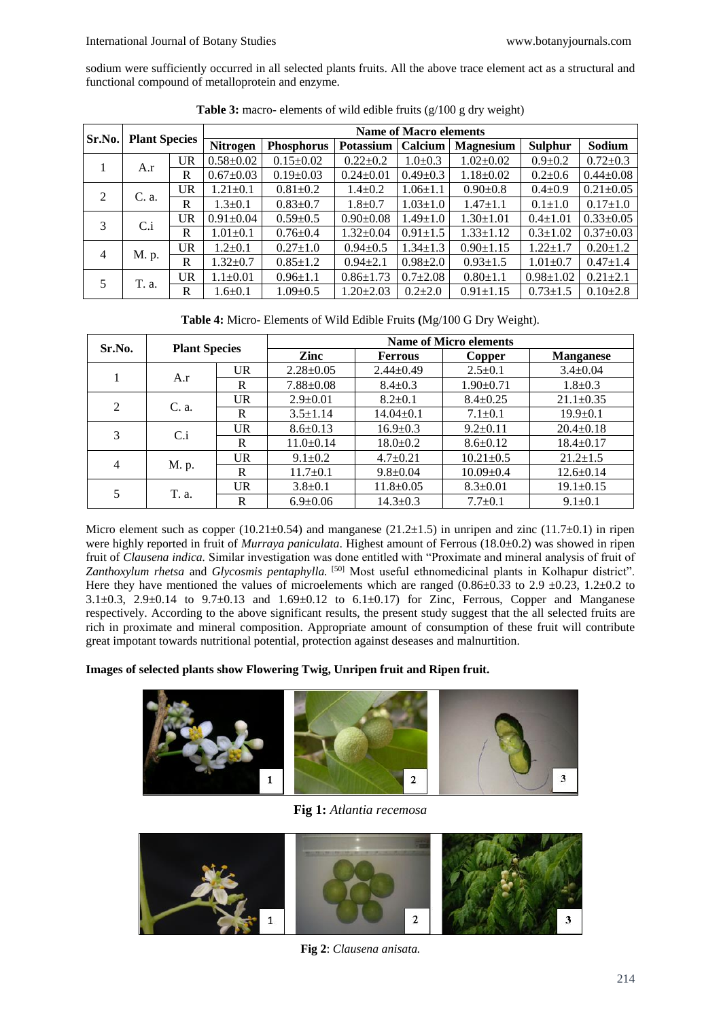sodium were sufficiently occurred in all selected plants fruits. All the above trace element act as a structural and functional compound of metalloprotein and enzyme.

|                | <b>Plant Species</b> |           | <b>Name of Macro elements</b> |                   |                  |                |                  |                 |                 |                |  |
|----------------|----------------------|-----------|-------------------------------|-------------------|------------------|----------------|------------------|-----------------|-----------------|----------------|--|
| Sr.No.         |                      |           | Nitrogen                      | <b>Phosphorus</b> | <b>Potassium</b> | Calcium        | <b>Magnesium</b> | <b>Sulphur</b>  | Sodium          |                |  |
|                | A.r                  | <b>UR</b> | $0.58 \pm 0.02$               | $0.15 \pm 0.02$   | $0.22 \pm 0.2$   | $1.0 \pm 0.3$  | $1.02 \pm 0.02$  | $0.9 \pm 0.2$   | $0.72 \pm 0.3$  |                |  |
|                |                      | R         | $0.67 \pm 0.03$               | $0.19 \pm 0.03$   | $0.24 \pm 0.01$  | $0.49 \pm 0.3$ | $1.18 \pm 0.02$  | $0.2{\pm}0.6$   | $0.44 \pm 0.08$ |                |  |
| 2              | C. a.                | UR        | $1.21 \pm 0.1$                | $0.81 \pm 0.2$    | $1.4 \pm 0.2$    | $1.06 \pm 1.1$ | $0.90 \pm 0.8$   | $0.4 \pm 0.9$   | $0.21 \pm 0.05$ |                |  |
|                |                      |           | R                             | $1.3 \pm 0.1$     | $0.83 \pm 0.7$   | $1.8 \pm 0.7$  | $1.03 \pm 1.0$   | $1.47 \pm 1.1$  | $0.1 \pm 1.0$   | $0.17 \pm 1.0$ |  |
| 3              | $C_i$                | UR        | $0.91 \pm 0.04$               | $0.59 \pm 0.5$    | $0.90 \pm 0.08$  | $1.49 \pm 1.0$ | $1.30 \pm 1.01$  | $0.4 \pm 1.01$  | $0.33 \pm 0.05$ |                |  |
|                |                      | R         | $1.01 \pm 0.1$                | $0.76 \pm 0.4$    | $1.32 \pm 0.04$  | $0.91 \pm 1.5$ | $1.33 \pm 1.12$  | $0.3 \pm 1.02$  | $0.37 \pm 0.03$ |                |  |
| $\overline{4}$ | M. p.                | <b>UR</b> | $1.2 \pm 0.1$                 | $0.27 \pm 1.0$    | $0.94 \pm 0.5$   | $1.34 \pm 1.3$ | $0.90 \pm 1.15$  | $1.22 \pm 1.7$  | $0.20 \pm 1.2$  |                |  |
|                |                      | R         | $1.32 \pm 0.7$                | $0.85 \pm 1.2$    | $0.94 \pm 2.1$   | $0.98 \pm 2.0$ | $0.93 \pm 1.5$   | $1.01 \pm 0.7$  | $0.47 \pm 1.4$  |                |  |
| 5              | T. a.                | <b>UR</b> | $1.1 \pm 0.01$                | $0.96 \pm 1.1$    | $0.86 \pm 1.73$  | $0.7 \pm 2.08$ | $0.80 \pm 1.1$   | $0.98 \pm 1.02$ | $0.21 \pm 2.1$  |                |  |
|                |                      | R         | $1.6 \pm 0.1$                 | $1.09 \pm 0.5$    | $1.20 \pm 2.03$  | $0.2{\pm}2.0$  | $0.91 \pm 1.15$  | $0.73 \pm 1.5$  | $0.10{\pm}2.8$  |                |  |

**Table 3:** macro- elements of wild edible fruits (g/100 g dry weight)

**Table 4:** Micro- Elements of Wild Edible Fruits **(**Mg/100 G Dry Weight).

|                | <b>Plant Species</b> |              | <b>Name of Micro elements</b> |                 |                 |                  |  |  |  |  |
|----------------|----------------------|--------------|-------------------------------|-----------------|-----------------|------------------|--|--|--|--|
| Sr.No.         |                      |              | Zinc                          | <b>Ferrous</b>  | Copper          | <b>Manganese</b> |  |  |  |  |
|                |                      | <b>UR</b>    | $2.28 \pm 0.05$               | $2.44 \pm 0.49$ | $2.5 \pm 0.1$   | $3.4 \pm 0.04$   |  |  |  |  |
|                | A.r                  | R            | $7.88 \pm 0.08$               | $8.4 \pm 0.3$   | $1.90 \pm 0.71$ | $1.8 \pm 0.3$    |  |  |  |  |
|                |                      | <b>UR</b>    | $2.9 \pm 0.01$                | $8.2 \pm 0.1$   | $8.4 \pm 0.25$  | $21.1 \pm 0.35$  |  |  |  |  |
| $\overline{2}$ | C. a.                | R            | $3.5 \pm 1.14$                | $14.04 \pm 0.1$ | $7.1 \pm 0.1$   | $19.9 \pm 0.1$   |  |  |  |  |
|                | $C_i$                | <b>UR</b>    | $8.6 \pm 0.13$                | $16.9 \pm 0.3$  | $9.2 \pm 0.11$  | $20.4 \pm 0.18$  |  |  |  |  |
| 3              |                      | R            | $11.0 \pm 0.14$               | $18.0 \pm 0.2$  | $8.6 \pm 0.12$  | $18.4 \pm 0.17$  |  |  |  |  |
|                |                      | UR.          | $9.1 \pm 0.2$                 | $4.7 \pm 0.21$  | $10.21 \pm 0.5$ | $21.2 \pm 1.5$   |  |  |  |  |
| 4              | M. p.                | R            | $11.7 \pm 0.1$                | $9.8 \pm 0.04$  | $10.09 \pm 0.4$ | $12.6 \pm 0.14$  |  |  |  |  |
|                |                      | $_{\rm{UR}}$ | $3.8 \pm 0.1$                 | $11.8 \pm 0.05$ | $8.3 \pm 0.01$  | $19.1 \pm 0.15$  |  |  |  |  |
| 5              | T. a.                | R            | $6.9 \pm 0.06$                | $14.3 \pm 0.3$  | $7.7 \pm 0.1$   | $9.1 \pm 0.1$    |  |  |  |  |

Micro element such as copper (10.21±0.54) and manganese (21.2±1.5) in unripen and zinc (11.7±0.1) in ripen were highly reported in fruit of *Murraya paniculata*. Highest amount of Ferrous (18.0±0.2) was showed in ripen fruit of *Clausena indica.* Similar investigation was done entitled with "Proximate and mineral analysis of fruit of *Zanthoxylum rhetsa* and *Glycosmis pentaphylla.* [50] Most useful ethnomedicinal plants in Kolhapur district". Here they have mentioned the values of microelements which are ranged  $(0.86\pm0.33$  to 2.9  $\pm0.23$ , 1.2 $\pm0.2$  to 3.1 $\pm$ 0.3, 2.9 $\pm$ 0.14 to 9.7 $\pm$ 0.13 and 1.69 $\pm$ 0.12 to 6.1 $\pm$ 0.17) for Zinc, Ferrous, Copper and Manganese respectively. According to the above significant results, the present study suggest that the all selected fruits are rich in proximate and mineral composition. Appropriate amount of consumption of these fruit will contribute great impotant towards nutritional potential, protection against deseases and malnurtition.

**Images of selected plants show Flowering Twig, Unripen fruit and Ripen fruit.**



**Fig 1:** *Atlantia recemosa*



**Fig 2**: *Clausena anisata.*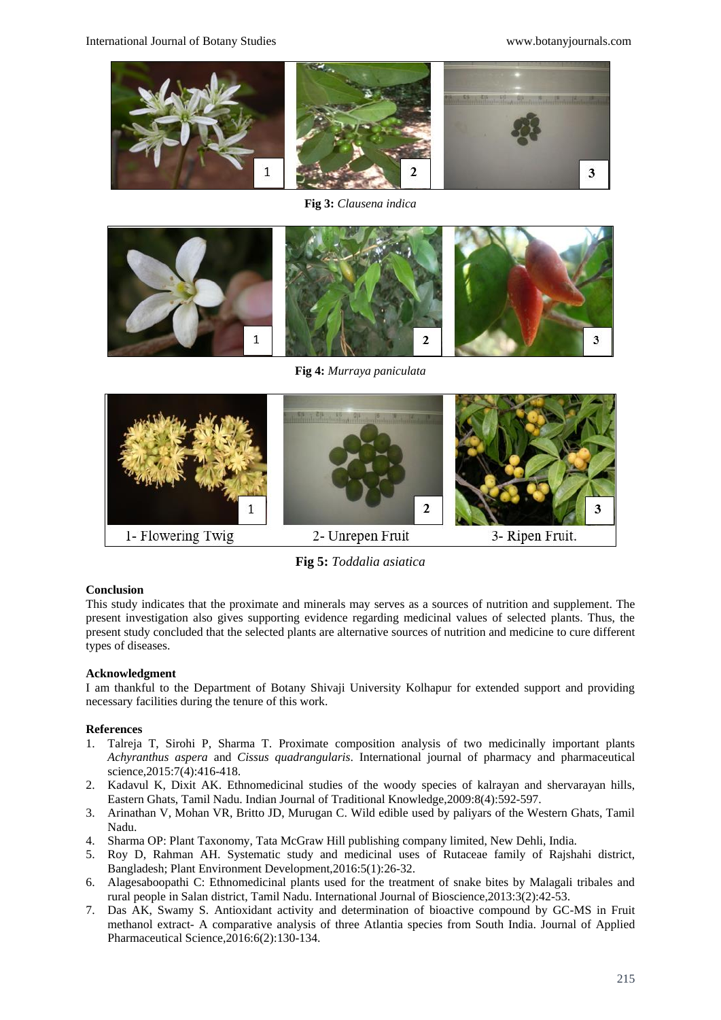

**Fig 3:** *Clausena indica*



**Fig 4:** *Murraya paniculata*



**Fig 5:** *Toddalia asiatica*

## **Conclusion**

This study indicates that the proximate and minerals may serves as a sources of nutrition and supplement. The present investigation also gives supporting evidence regarding medicinal values of selected plants. Thus, the present study concluded that the selected plants are alternative sources of nutrition and medicine to cure different types of diseases.

## **Acknowledgment**

I am thankful to the Department of Botany Shivaji University Kolhapur for extended support and providing necessary facilities during the tenure of this work.

## **References**

- 1. Talreja T, Sirohi P, Sharma T. Proximate composition analysis of two medicinally important plants *Achyranthus aspera* and *Cissus quadrangularis*. International journal of pharmacy and pharmaceutical science,2015:7(4):416-418.
- 2. Kadavul K, Dixit AK. Ethnomedicinal studies of the woody species of kalrayan and shervarayan hills, Eastern Ghats, Tamil Nadu. Indian Journal of Traditional Knowledge,2009:8(4):592-597.
- 3. Arinathan V, Mohan VR, Britto JD, Murugan C. Wild edible used by paliyars of the Western Ghats, Tamil Nadu.
- 4. Sharma OP: Plant Taxonomy, Tata McGraw Hill publishing company limited, New Dehli, India.
- 5. Roy D, Rahman AH. Systematic study and medicinal uses of Rutaceae family of Rajshahi district, Bangladesh; Plant Environment Development,2016:5(1):26-32.
- 6. Alagesaboopathi C: Ethnomedicinal plants used for the treatment of snake bites by Malagali tribales and rural people in Salan district, Tamil Nadu. International Journal of Bioscience,2013:3(2):42-53.
- 7. Das AK, Swamy S. Antioxidant activity and determination of bioactive compound by GC-MS in Fruit methanol extract- A comparative analysis of three Atlantia species from South India. Journal of Applied Pharmaceutical Science,2016:6(2):130-134.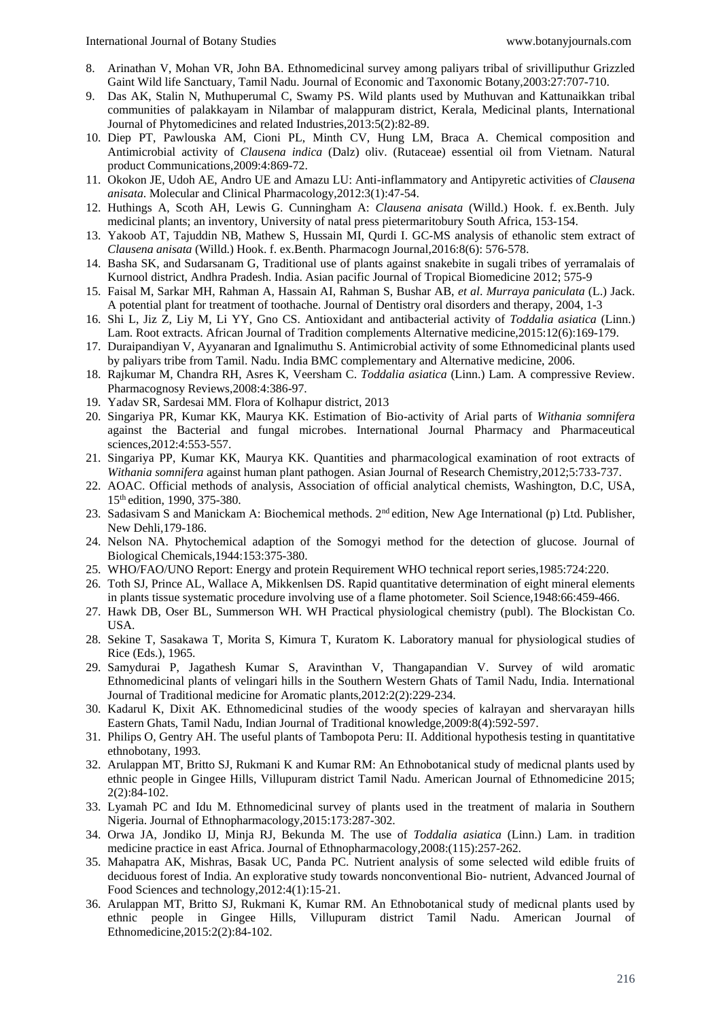- 8. Arinathan V, Mohan VR, John BA. Ethnomedicinal survey among paliyars tribal of srivilliputhur Grizzled Gaint Wild life Sanctuary, Tamil Nadu. Journal of Economic and Taxonomic Botany,2003:27:707-710.
- 9. Das AK, Stalin N, Muthuperumal C, Swamy PS. Wild plants used by Muthuvan and Kattunaikkan tribal communities of palakkayam in Nilambar of malappuram district, Kerala, Medicinal plants, International Journal of Phytomedicines and related Industries,2013:5(2):82-89.
- 10. Diep PT, Pawlouska AM, Cioni PL, Minth CV, Hung LM, Braca A. Chemical composition and Antimicrobial activity of *Clausena indica* (Dalz) oliv. (Rutaceae) essential oil from Vietnam. Natural product Communications,2009:4:869-72.
- 11. Okokon JE, Udoh AE, Andro UE and Amazu LU: Anti-inflammatory and Antipyretic activities of *Clausena anisata*. Molecular and Clinical Pharmacology,2012:3(1):47-54.
- 12. Huthings A, Scoth AH, Lewis G. Cunningham A: *Clausena anisata* (Willd.) Hook. f. ex.Benth. July medicinal plants; an inventory, University of natal press pietermaritobury South Africa, 153-154.
- 13. Yakoob AT, Tajuddin NB, Mathew S, Hussain MI, Qurdi I. GC-MS analysis of ethanolic stem extract of *Clausena anisata* (Willd.) Hook. f. ex.Benth. Pharmacogn Journal,2016:8(6): 576-578.
- 14. Basha SK, and Sudarsanam G, Traditional use of plants against snakebite in sugali tribes of yerramalais of Kurnool district, Andhra Pradesh. India. Asian pacific Journal of Tropical Biomedicine 2012; 575-9
- 15. Faisal M, Sarkar MH, Rahman A, Hassain AI, Rahman S, Bushar AB, *et al*. *Murraya paniculata* (L.) Jack. A potential plant for treatment of toothache. Journal of Dentistry oral disorders and therapy, 2004, 1-3
- 16. Shi L, Jiz Z, Liy M, Li YY, Gno CS. Antioxidant and antibacterial activity of *Toddalia asiatica* (Linn.) Lam. Root extracts. African Journal of Tradition complements Alternative medicine,2015:12(6):169-179.
- 17. Duraipandiyan V, Ayyanaran and Ignalimuthu S. Antimicrobial activity of some Ethnomedicinal plants used by paliyars tribe from Tamil. Nadu. India BMC complementary and Alternative medicine, 2006.
- 18. Rajkumar M, Chandra RH, Asres K, Veersham C. *Toddalia asiatica* (Linn.) Lam. A compressive Review. Pharmacognosy Reviews,2008:4:386-97.
- 19. Yadav SR, Sardesai MM. Flora of Kolhapur district, 2013
- 20. Singariya PR, Kumar KK, Maurya KK. Estimation of Bio-activity of Arial parts of *Withania somnifera* against the Bacterial and fungal microbes. International Journal Pharmacy and Pharmaceutical sciences,2012:4:553-557.
- 21. Singariya PP, Kumar KK, Maurya KK. Quantities and pharmacological examination of root extracts of *Withania somnifera* against human plant pathogen. Asian Journal of Research Chemistry,2012;5:733-737.
- 22. AOAC. Official methods of analysis, Association of official analytical chemists, Washington, D.C, USA, 15th edition, 1990, 375-380.
- 23. Sadasivam S and Manickam A: Biochemical methods. 2<sup>nd</sup> edition, New Age International (p) Ltd. Publisher, New Dehli,179-186.
- 24. Nelson NA. Phytochemical adaption of the Somogyi method for the detection of glucose. Journal of Biological Chemicals,1944:153:375-380.
- 25. WHO/FAO/UNO Report: Energy and protein Requirement WHO technical report series,1985:724:220.
- 26. Toth SJ, Prince AL, Wallace A, Mikkenlsen DS. Rapid quantitative determination of eight mineral elements in plants tissue systematic procedure involving use of a flame photometer. Soil Science,1948:66:459-466.
- 27. Hawk DB, Oser BL, Summerson WH. WH Practical physiological chemistry (publ). The Blockistan Co. USA.
- 28. Sekine T, Sasakawa T, Morita S, Kimura T, Kuratom K. Laboratory manual for physiological studies of Rice (Eds.), 1965.
- 29. Samydurai P, Jagathesh Kumar S, Aravinthan V, Thangapandian V. Survey of wild aromatic Ethnomedicinal plants of velingari hills in the Southern Western Ghats of Tamil Nadu, India. International Journal of Traditional medicine for Aromatic plants,2012:2(2):229-234.
- 30. Kadarul K, Dixit AK. Ethnomedicinal studies of the woody species of kalrayan and shervarayan hills Eastern Ghats, Tamil Nadu, Indian Journal of Traditional knowledge,2009:8(4):592-597.
- 31. Philips O, Gentry AH. The useful plants of Tambopota Peru: II. Additional hypothesis testing in quantitative ethnobotany, 1993.
- 32. Arulappan MT, Britto SJ, Rukmani K and Kumar RM: An Ethnobotanical study of medicnal plants used by ethnic people in Gingee Hills, Villupuram district Tamil Nadu. American Journal of Ethnomedicine 2015; 2(2):84-102.
- 33. Lyamah PC and Idu M. Ethnomedicinal survey of plants used in the treatment of malaria in Southern Nigeria. Journal of Ethnopharmacology,2015:173:287-302.
- 34. Orwa JA, Jondiko IJ, Minja RJ, Bekunda M. The use of *Toddalia asiatica* (Linn.) Lam. in tradition medicine practice in east Africa. Journal of Ethnopharmacology,2008:(115):257-262.
- 35. Mahapatra AK, Mishras, Basak UC, Panda PC. Nutrient analysis of some selected wild edible fruits of deciduous forest of India. An explorative study towards nonconventional Bio- nutrient, Advanced Journal of Food Sciences and technology,2012:4(1):15-21.
- 36. Arulappan MT, Britto SJ, Rukmani K, Kumar RM. An Ethnobotanical study of medicnal plants used by ethnic people in Gingee Hills, Villupuram district Tamil Nadu. American Journal of Ethnomedicine,2015:2(2):84-102.